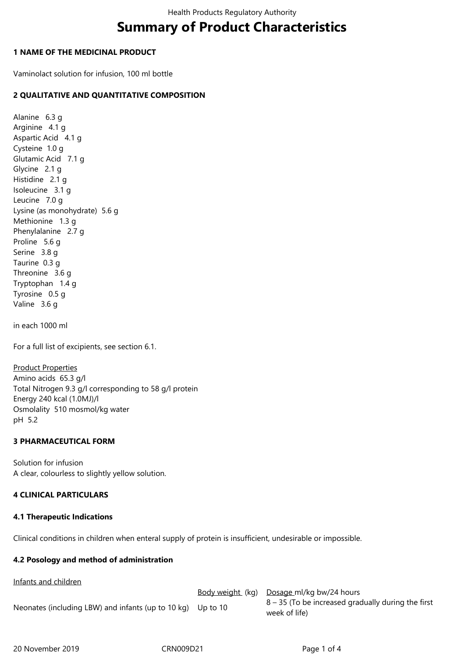# **Summary of Product Characteristics**

## **1 NAME OF THE MEDICINAL PRODUCT**

Vaminolact solution for infusion, 100 ml bottle

# **2 QUALITATIVE AND QUANTITATIVE COMPOSITION**

Alanine 6.3 g Arginine 4.1 g Aspartic Acid 4.1 g Cysteine 1.0 g Glutamic Acid 7.1 g Glycine 2.1 g Histidine 2.1 g Isoleucine 3.1 g Leucine 7.0 g Lysine (as monohydrate) 5.6 g Methionine 1.3 g Phenylalanine 2.7 g Proline 5.6 g Serine 3.8 g Taurine 0.3 g Threonine 3.6 g Tryptophan 1.4 g Tyrosine 0.5 g Valine 3.6 g

in each 1000 ml

For a full list of excipients, see section 6.1.

Product Properties Amino acids 65.3 g/l Total Nitrogen 9.3 g/l corresponding to 58 g/l protein Energy 240 kcal (1.0MJ)/l Osmolality 510 mosmol/kg water pH 5.2

# **3 PHARMACEUTICAL FORM**

Solution for infusion A clear, colourless to slightly yellow solution.

# **4 CLINICAL PARTICULARS**

# **4.1 Therapeutic Indications**

Clinical conditions in children when enteral supply of protein is insufficient, undesirable or impossible.

# **4.2 Posology and method of administration**

Infants and children

Body weight (kg) Dosage ml/kg bw/24 hours Neonates (including LBW) and infants (up to 10 kg) Up to 10  $8 - 35$  (To be increased gradually during the first week of life)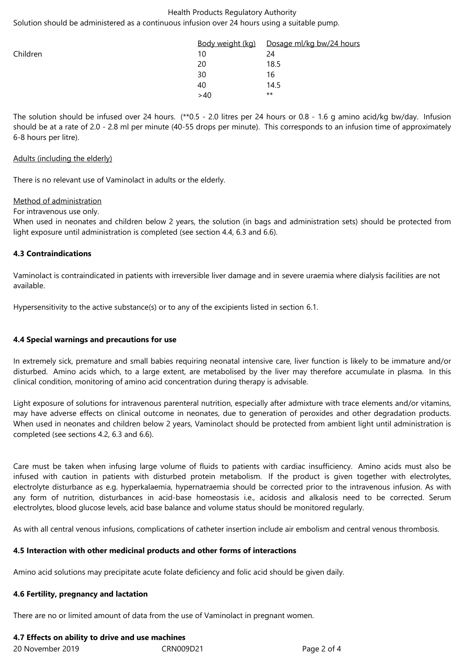#### Health Products Regulatory Authority

Solution should be administered as a continuous infusion over 24 hours using a suitable pump.

|          | <u>Body weight (kg)</u> | Dosage ml/kg bw/24 hours |
|----------|-------------------------|--------------------------|
| Children | 10                      | 24                       |
|          | 20                      | 18.5                     |
|          | 30                      | 16                       |
|          | 40                      | 14.5                     |
|          | >40                     | $***$                    |

The solution should be infused over 24 hours. (\*\*0.5 - 2.0 litres per 24 hours or 0.8 - 1.6 g amino acid/kg bw/day. Infusion should be at a rate of 2.0 - 2.8 ml per minute (40-55 drops per minute). This corresponds to an infusion time of approximately 6-8 hours per litre).

#### Adults (including the elderly)

There is no relevant use of Vaminolact in adults or the elderly.

## Method of administration

For intravenous use only.

When used in neonates and children below 2 years, the solution (in bags and administration sets) should be protected from light exposure until administration is completed (see section 4.4, 6.3 and 6.6).

## **4.3 Contraindications**

Vaminolact is contraindicated in patients with irreversible liver damage and in severe uraemia where dialysis facilities are not available.

Hypersensitivity to the active substance(s) or to any of the excipients listed in section 6.1.

# **4.4 Special warnings and precautions for use**

In extremely sick, premature and small babies requiring neonatal intensive care, liver function is likely to be immature and/or disturbed. Amino acids which, to a large extent, are metabolised by the liver may therefore accumulate in plasma. In this clinical condition, monitoring of amino acid concentration during therapy is advisable.

Light exposure of solutions for intravenous parenteral nutrition, especially after admixture with trace elements and/or vitamins, may have adverse effects on clinical outcome in neonates, due to generation of peroxides and other degradation products. When used in neonates and children below 2 years, Vaminolact should be protected from ambient light until administration is completed (see sections 4.2, 6.3 and 6.6).

Care must be taken when infusing large volume of fluids to patients with cardiac insufficiency. Amino acids must also be infused with caution in patients with disturbed protein metabolism. If the product is given together with electrolytes, electrolyte disturbance as e.g. hyperkalaemia, hypernatraemia should be corrected prior to the intravenous infusion. As with any form of nutrition, disturbances in acid-base homeostasis i.e., acidosis and alkalosis need to be corrected. Serum electrolytes, blood glucose levels, acid base balance and volume status should be monitored regularly.

As with all central venous infusions, complications of catheter insertion include air embolism and central venous thrombosis.

## **4.5 Interaction with other medicinal products and other forms of interactions**

Amino acid solutions may precipitate acute folate deficiency and folic acid should be given daily.

## **4.6 Fertility, pregnancy and lactation**

There are no or limited amount of data from the use of Vaminolact in pregnant women.

# **4.7 Effects on ability to drive and use machines**

| 20 November 2019 | CRN009D21 | Page 2 of 4 |
|------------------|-----------|-------------|
|------------------|-----------|-------------|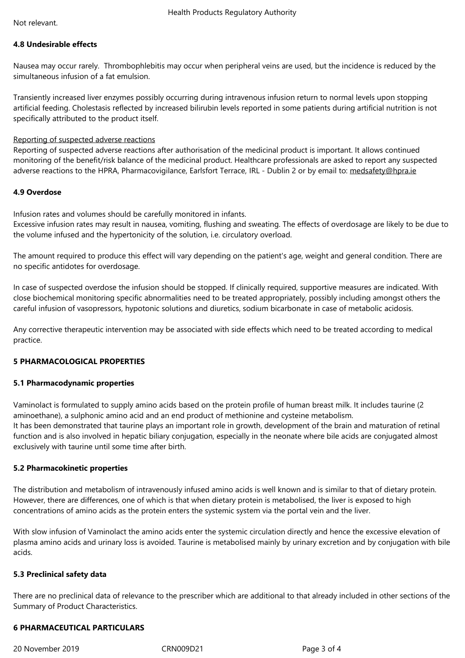#### **4.8 Undesirable effects**

Nausea may occur rarely. Thrombophlebitis may occur when peripheral veins are used, but the incidence is reduced by the simultaneous infusion of a fat emulsion.

Transiently increased liver enzymes possibly occurring during intravenous infusion return to normal levels upon stopping artificial feeding. Cholestasis reflected by increased bilirubin levels reported in some patients during artificial nutrition is not specifically attributed to the product itself.

## Reporting of suspected adverse reactions

Reporting of suspected adverse reactions after authorisation of the medicinal product is important. It allows continued monitoring of the benefit/risk balance of the medicinal product. Healthcare professionals are asked to report any suspected adverse reactions to the HPRA, Pharmacovigilance, Earlsfort Terrace, IRL - Dublin 2 or by email to: medsafety@hpra.ie

## **4.9 Overdose**

Infusion rates and volumes should be carefully monitored in infants.

Excessive infusion rates may result in nausea, vomiting, flushing and sweating. The effects of overdosage are likely to be due to the volume infused and the hypertonicity of the solution, i.e. circulatory overload.

The amount required to produce this effect will vary depending on the patient's age, weight and general condition. There are no specific antidotes for overdosage.

In case of suspected overdose the infusion should be stopped. If clinically required, supportive measures are indicated. With close biochemical monitoring specific abnormalities need to be treated appropriately, possibly including amongst others the careful infusion of vasopressors, hypotonic solutions and diuretics, sodium bicarbonate in case of metabolic acidosis.

Any corrective therapeutic intervention may be associated with side effects which need to be treated according to medical practice.

# **5 PHARMACOLOGICAL PROPERTIES**

## **5.1 Pharmacodynamic properties**

Vaminolact is formulated to supply amino acids based on the protein profile of human breast milk. It includes taurine (2 aminoethane), a sulphonic amino acid and an end product of methionine and cysteine metabolism. It has been demonstrated that taurine plays an important role in growth, development of the brain and maturation of retinal function and is also involved in hepatic biliary conjugation, especially in the neonate where bile acids are conjugated almost exclusively with taurine until some time after birth.

## **5.2 Pharmacokinetic properties**

The distribution and metabolism of intravenously infused amino acids is well known and is similar to that of dietary protein. However, there are differences, one of which is that when dietary protein is metabolised, the liver is exposed to high concentrations of amino acids as the protein enters the systemic system via the portal vein and the liver.

With slow infusion of Vaminolact the amino acids enter the systemic circulation directly and hence the excessive elevation of plasma amino acids and urinary loss is avoided. Taurine is metabolised mainly by urinary excretion and by conjugation with bile acids.

## **5.3 Preclinical safety data**

There are no preclinical data of relevance to the prescriber which are additional to that already included in other sections of the Summary of Product Characteristics.

## **6 PHARMACEUTICAL PARTICULARS**

20 November 2019 CRN009D21 Page 3 of 4